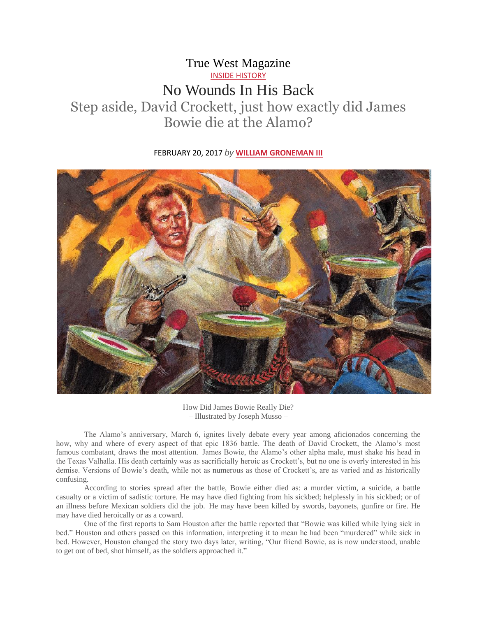## True West Magazine [INSIDE HISTORY](https://truewestmagazine.com/category/inside-history/) No Wounds In His Back Step aside, David Crockett, just how exactly did James Bowie die at the Alamo?

## FEBRUARY 20, 2017 *by* **[WILLIAM GRONEMAN III](https://truewestmagazine.com/author/william-groneman-iii/)**



How Did James Bowie Really Die? – Illustrated by Joseph Musso –

The Alamo's anniversary, March 6, ignites lively debate every year among aficionados concerning the how, why and where of every aspect of that epic 1836 battle. The death of David Crockett, the Alamo's most famous combatant, draws the most attention. James Bowie, the Alamo's other alpha male, must shake his head in the Texas Valhalla. His death certainly was as sacrificially heroic as Crockett's, but no one is overly interested in his demise. Versions of Bowie's death, while not as numerous as those of Crockett's, are as varied and as historically confusing.

According to stories spread after the battle, Bowie either died as: a murder victim, a suicide, a battle casualty or a victim of sadistic torture. He may have died fighting from his sickbed; helplessly in his sickbed; or of an illness before Mexican soldiers did the job. He may have been killed by swords, bayonets, gunfire or fire. He may have died heroically or as a coward.

One of the first reports to Sam Houston after the battle reported that "Bowie was killed while lying sick in bed." Houston and others passed on this information, interpreting it to mean he had been "murdered" while sick in bed. However, Houston changed the story two days later, writing, "Our friend Bowie, as is now understood, unable to get out of bed, shot himself, as the soldiers approached it."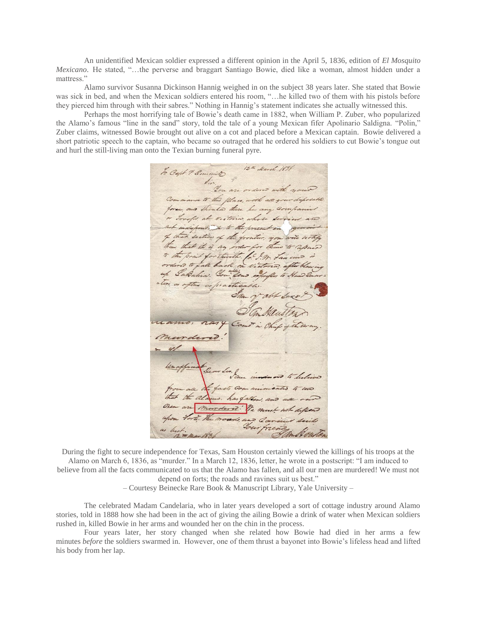An unidentified Mexican soldier expressed a different opinion in the April 5, 1836, edition of *El Mosquito Mexicano*. He stated, "…the perverse and braggart Santiago Bowie, died like a woman, almost hidden under a mattress."

Alamo survivor Susanna Dickinson Hannig weighed in on the subject 38 years later. She stated that Bowie was sick in bed, and when the Mexican soldiers entered his room, "…he killed two of them with his pistols before they pierced him through with their sabres." Nothing in Hannig's statement indicates she actually witnessed this.

Perhaps the most horrifying tale of Bowie's death came in 1882, when William P. Zuber, who popularized the Alamo's famous "line in the sand" story, told the tale of a young Mexican fifer Apolinario Saldigna. "Polin," Zuber claims, witnessed Bowie brought out alive on a cot and placed before a Mexican captain. Bowie delivered a short patriotic speech to the captain, who became so outraged that he ordered his soldiers to cut Bowie's tongue out and hurl the still-living man onto the Texian burning funeral pyre.

to Capt 9. Smith 15th March 1891 Command to this place, with all your diposable force, and then to there be any companied or Irrofic at victoria, whose services and not indispositive to the present in you of that section of the fronting you will notify than that it is my order for these to repair to the point for therethe for In Law wind Pabalia. You lead enforder to be. as after as practicable  $C_{\alpha}$ Lacts Commin that the alamo, has fallow, and all our mordered! He must not depend

During the fight to secure independence for Texas, Sam Houston certainly viewed the killings of his troops at the Alamo on March 6, 1836, as "murder." In a March 12, 1836, letter, he wrote in a postscript: "I am induced to believe from all the facts communicated to us that the Alamo has fallen, and all our men are murdered! We must not depend on forts; the roads and ravines suit us best."

– Courtesy Beinecke Rare Book & Manuscript Library, Yale University –

The celebrated Madam Candelaria, who in later years developed a sort of cottage industry around Alamo stories, told in 1888 how she had been in the act of giving the ailing Bowie a drink of water when Mexican soldiers rushed in, killed Bowie in her arms and wounded her on the chin in the process.

Four years later, her story changed when she related how Bowie had died in her arms a few minutes *before* the soldiers swarmed in. However, one of them thrust a bayonet into Bowie's lifeless head and lifted his body from her lap.